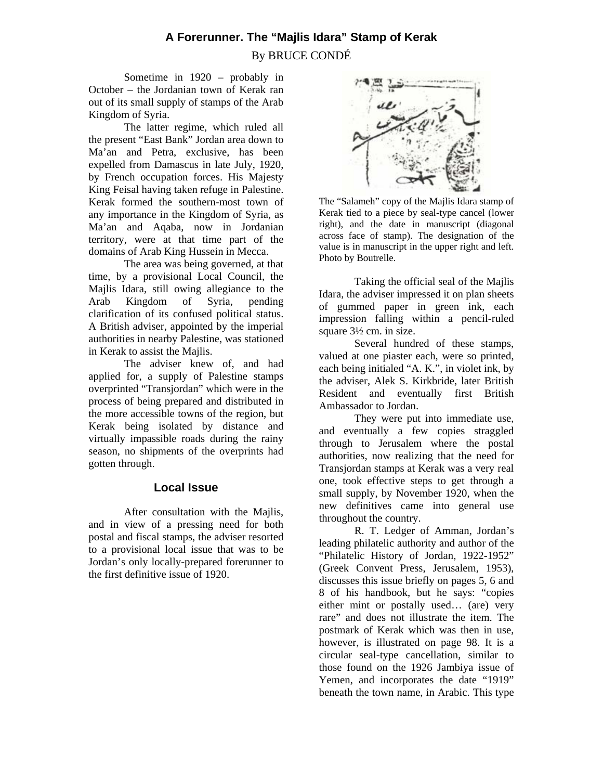# **A Forerunner. The "Majlis Idara" Stamp of Kerak**  By BRUCE CONDÉ

Sometime in 1920 – probably in October – the Jordanian town of Kerak ran out of its small supply of stamps of the Arab Kingdom of Syria.

 The latter regime, which ruled all the present "East Bank" Jordan area down to Ma'an and Petra, exclusive, has been expelled from Damascus in late July, 1920, by French occupation forces. His Majesty King Feisal having taken refuge in Palestine. Kerak formed the southern-most town of any importance in the Kingdom of Syria, as Ma'an and Aqaba, now in Jordanian territory, were at that time part of the domains of Arab King Hussein in Mecca.

 The area was being governed, at that time, by a provisional Local Council, the Majlis Idara, still owing allegiance to the Arab Kingdom of Syria, pending clarification of its confused political status. A British adviser, appointed by the imperial authorities in nearby Palestine, was stationed in Kerak to assist the Majlis.

 The adviser knew of, and had applied for, a supply of Palestine stamps overprinted "Transjordan" which were in the process of being prepared and distributed in the more accessible towns of the region, but Kerak being isolated by distance and virtually impassible roads during the rainy season, no shipments of the overprints had gotten through.

# **Local Issue**

After consultation with the Majlis, and in view of a pressing need for both postal and fiscal stamps, the adviser resorted to a provisional local issue that was to be Jordan's only locally-prepared forerunner to the first definitive issue of 1920.



The "Salameh" copy of the Majlis Idara stamp of Kerak tied to a piece by seal-type cancel (lower right), and the date in manuscript (diagonal across face of stamp). The designation of the value is in manuscript in the upper right and left. Photo by Boutrelle.

Taking the official seal of the Majlis Idara, the adviser impressed it on plan sheets of gummed paper in green ink, each impression falling within a pencil-ruled square 3½ cm. in size.

 Several hundred of these stamps, valued at one piaster each, were so printed, each being initialed "A. K.", in violet ink, by the adviser, Alek S. Kirkbride, later British Resident and eventually first British Ambassador to Jordan.

 They were put into immediate use, and eventually a few copies straggled through to Jerusalem where the postal authorities, now realizing that the need for Transjordan stamps at Kerak was a very real one, took effective steps to get through a small supply, by November 1920, when the new definitives came into general use throughout the country.

 R. T. Ledger of Amman, Jordan's leading philatelic authority and author of the "Philatelic History of Jordan, 1922-1952" (Greek Convent Press, Jerusalem, 1953), discusses this issue briefly on pages 5, 6 and 8 of his handbook, but he says: "copies either mint or postally used… (are) very rare" and does not illustrate the item. The postmark of Kerak which was then in use, however, is illustrated on page 98. It is a circular seal-type cancellation, similar to those found on the 1926 Jambiya issue of Yemen, and incorporates the date "1919" beneath the town name, in Arabic. This type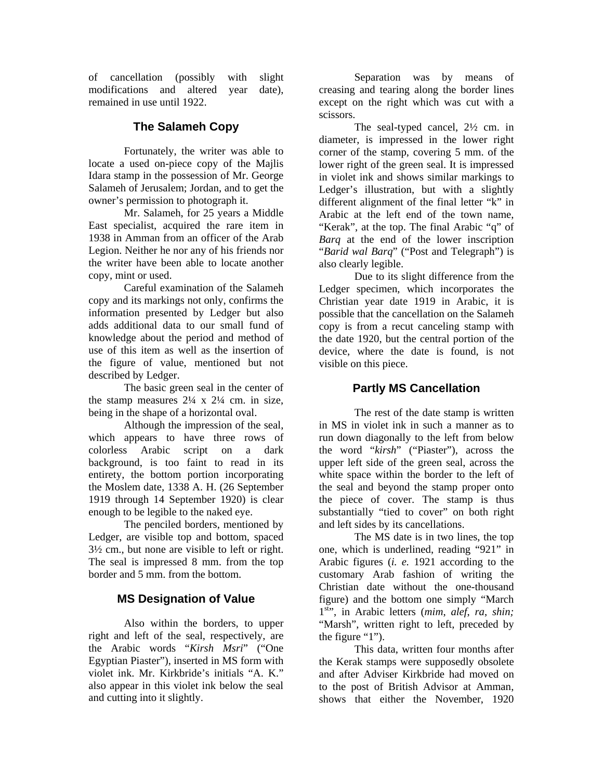of cancellation (possibly with slight modifications and altered year date), remained in use until 1922.

## **The Salameh Copy**

Fortunately, the writer was able to locate a used on-piece copy of the Majlis Idara stamp in the possession of Mr. George Salameh of Jerusalem; Jordan, and to get the owner's permission to photograph it.

 Mr. Salameh, for 25 years a Middle East specialist, acquired the rare item in 1938 in Amman from an officer of the Arab Legion. Neither he nor any of his friends nor the writer have been able to locate another copy, mint or used.

 Careful examination of the Salameh copy and its markings not only, confirms the information presented by Ledger but also adds additional data to our small fund of knowledge about the period and method of use of this item as well as the insertion of the figure of value, mentioned but not described by Ledger.

 The basic green seal in the center of the stamp measures  $2\frac{1}{4}$  x  $2\frac{1}{4}$  cm. in size, being in the shape of a horizontal oval.

 Although the impression of the seal, which appears to have three rows of colorless Arabic script on a dark background, is too faint to read in its entirety, the bottom portion incorporating the Moslem date, 1338 A. H. (26 September 1919 through 14 September 1920) is clear enough to be legible to the naked eye.

 The penciled borders, mentioned by Ledger, are visible top and bottom, spaced 3½ cm., but none are visible to left or right. The seal is impressed 8 mm. from the top border and 5 mm. from the bottom.

# **MS Designation of Value**

Also within the borders, to upper right and left of the seal, respectively, are the Arabic words "*Kirsh Msri*" ("One Egyptian Piaster"), inserted in MS form with violet ink. Mr. Kirkbride's initials "A. K." also appear in this violet ink below the seal and cutting into it slightly.

 Separation was by means of creasing and tearing along the border lines except on the right which was cut with a scissors.

 The seal-typed cancel, 2½ cm. in diameter, is impressed in the lower right corner of the stamp, covering 5 mm. of the lower right of the green seal. It is impressed in violet ink and shows similar markings to Ledger's illustration, but with a slightly different alignment of the final letter "k" in Arabic at the left end of the town name, "Kerak", at the top. The final Arabic "q" of *Barq* at the end of the lower inscription "*Barid wal Barq*" ("Post and Telegraph") is also clearly legible.

 Due to its slight difference from the Ledger specimen, which incorporates the Christian year date 1919 in Arabic, it is possible that the cancellation on the Salameh copy is from a recut canceling stamp with the date 1920, but the central portion of the device, where the date is found, is not visible on this piece.

### **Partly MS Cancellation**

 The rest of the date stamp is written in MS in violet ink in such a manner as to run down diagonally to the left from below the word "*kirsh*" ("Piaster"), across the upper left side of the green seal, across the white space within the border to the left of the seal and beyond the stamp proper onto the piece of cover. The stamp is thus substantially "tied to cover" on both right and left sides by its cancellations.

 The MS date is in two lines, the top one, which is underlined, reading "921" in Arabic figures (*i. e.* 1921 according to the customary Arab fashion of writing the Christian date without the one-thousand figure) and the bottom one simply "March 1<sup>st</sup>", in Arabic letters (*mim*, *alef, ra, shin;* "Marsh", written right to left, preceded by the figure "1").

 This data, written four months after the Kerak stamps were supposedly obsolete and after Adviser Kirkbride had moved on to the post of British Advisor at Amman, shows that either the November, 1920